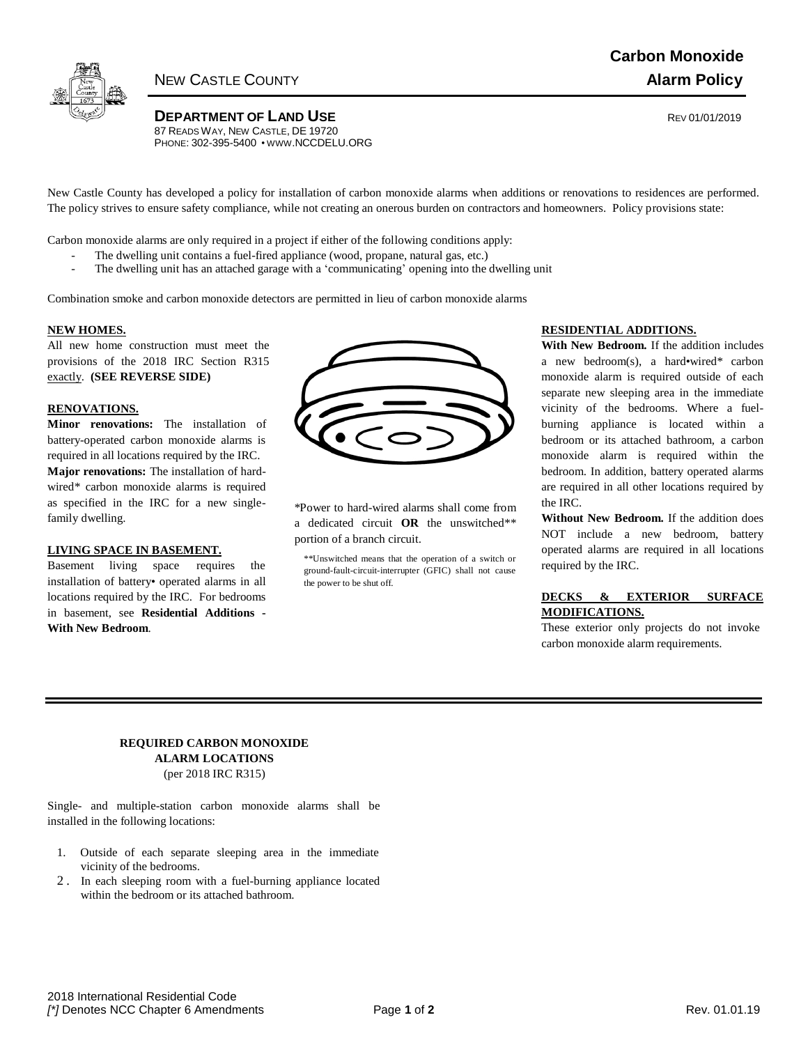

**Carbon Monoxide** NEW CASTLE COUNTY **Alarm Policy**

**DEPARTMENT OF LAND USE CONSUMING A REV 01/01/2019** 87 READS WAY, NEW CASTLE, DE 19720 PHONE: 302-395-5400 • WWW[.NCCDELU.ORG](http://www.nccdelu.org/)

New Castle County has developed a policy for installation of carbon monoxide alarms when additions or renovations to residences are performed. The policy strives to ensure safety compliance, while not creating an onerous burden on contractors and homeowners. Policy provisions state:

Carbon monoxide alarms are only required in a project if either of the following conditions apply:

- The dwelling unit contains a fuel-fired appliance (wood, propane, natural gas, etc.)
	- The dwelling unit has an attached garage with a 'communicating' opening into the dwelling unit

Combination smoke and carbon monoxide detectors are permitted in lieu of carbon monoxide alarms

## **NEW HOMES.**

All new home construction must meet the provisions of the 2018 IRC Section R315 exactly. **(SEE REVERSE SIDE)**

### **RENOVATIONS.**

**Minor renovations:** The installation of battery-operated carbon monoxide alarms is required in all locations required by the IRC. **Major renovations:** The installation of hardwired\* carbon monoxide alarms is required as specified in the IRC for a new singlefamily dwelling.

## **LIVING SPACE IN BASEMENT.**

Basement living space requires the installation of battery• operated alarms in all locations required by the IRC. For bedrooms in basement, see **Residential Additions - With New Bedroom**.

| $\sum_{i=1}^{n}$ | Ľ. | V<br>$\blacktriangleright$ |
|------------------|----|----------------------------|
|                  |    |                            |

\*Power to hard-wired alarms shall come from a dedicated circuit **OR** the unswitched\*\* portion of a branch circuit.

\*\*Unswitched means that the operation of a switch or ground-fault-circuit-interrupter (GFIC) shall not cause the power to be shut off.

### **RESIDENTIAL ADDITIONS.**

**With New Bedroom.** If the addition includes a new bedroom(s), a hard•wired\* carbon monoxide alarm is required outside of each separate new sleeping area in the immediate vicinity of the bedrooms. Where a fuelburning appliance is located within a bedroom or its attached bathroom, a carbon monoxide alarm is required within the bedroom. In addition, battery operated alarms are required in all other locations required by the IRC.

**Without New Bedroom.** If the addition does NOT include a new bedroom, battery operated alarms are required in all locations required by the IRC.

## **DECKS & EXTERIOR SURFACE MODIFICATIONS.**

These exterior only projects do not invoke carbon monoxide alarm requirements.

## **REQUIRED CARBON MONOXIDE ALARM LOCATIONS** (per 2018 IRC R315)

Single- and multiple-station carbon monoxide alarms shall be installed in the following locations:

- 1. Outside of each separate sleeping area in the immediate vicinity of the bedrooms.
- 2 . In each sleeping room with a fuel-burning appliance located within the bedroom or its attached bathroom.